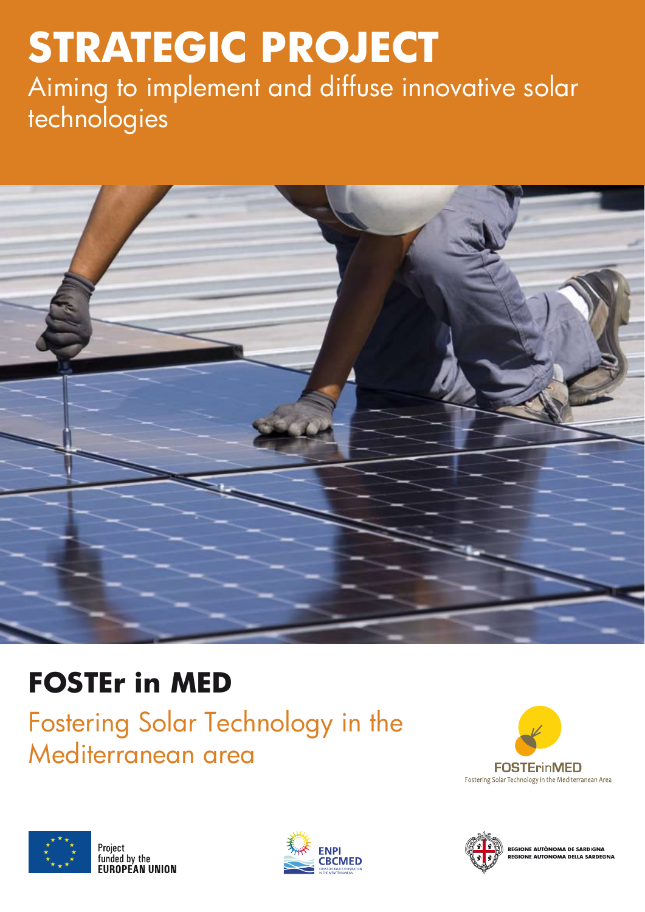# **STRATEGIC PROJECT**  Aiming to implement and diffuse innovative solar technologies



## **FOSTEr in MED**

Fostering Solar Technology in the Mediterranean area









REGIONE AUTÒNOMA DE SARDIGNA **REGIONE AUTONOMA DELLA SARDEGNA**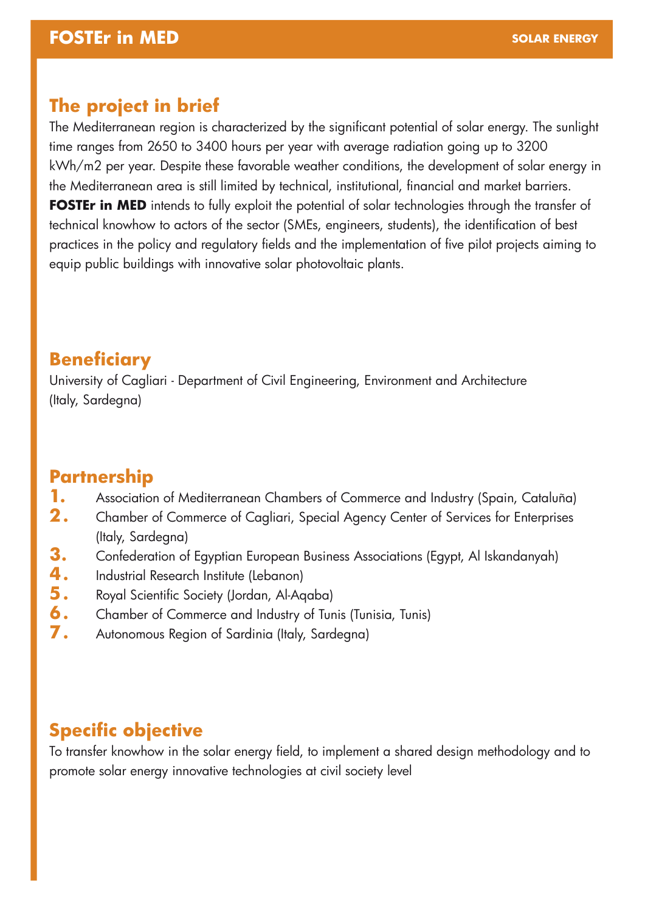## **The project in brief**

The Mediterranean region is characterized by the significant potential of solar energy. The sunlight time ranges from 2650 to 3400 hours per year with average radiation going up to 3200 kWh/m2 per year. Despite these favorable weather conditions, the development of solar energy in the Mediterranean area is still limited by technical, institutional, financial and market barriers. **FOSTEr in MED** intends to fully exploit the potential of solar technologies through the transfer of technical knowhow to actors of the sector (SMEs, engineers, students), the identification of best practices in the policy and regulatory fields and the implementation of five pilot projects aiming to equip public buildings with innovative solar photovoltaic plants.

## **Beneficiary**

University of Cagliari - Department of Civil Engineering, Environment and Architecture (Italy, Sardegna)

## **Partnership**

- Association of Mediterranean Chambers of Commerce and Industry (Spain, Cataluña) **1.**
- Chamber of Commerce of Cagliari, Special Agency Center of Services for Enterprises (Italy, Sardegna) **2 .**
- Confederation of Egyptian European Business Associations (Egypt, Al Iskandanyah) **3.**
- Industrial Research Institute (Lebanon) **4 .**
- Royal Scientific Society (Jordan, Al-Aqaba) **5 .**
- Chamber of Commerce and Industry of Tunis (Tunisia, Tunis) **6 .**
- Autonomous Region of Sardinia (Italy, Sardegna) **7 .**

## **Specific objective**

To transfer knowhow in the solar energy field, to implement a shared design methodology and to promote solar energy innovative technologies at civil society level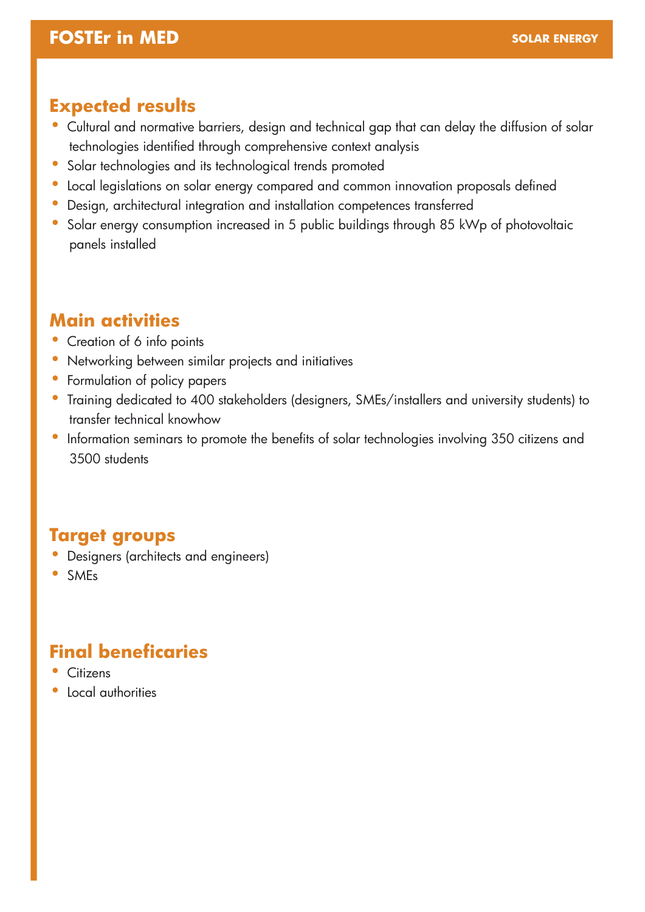#### **FOSTEr in MED**

#### **Expected results**

- Cultural and normative barriers, design and technical gap that can delay the diffusion of solar technologies identified through comprehensive context analysis
- Solar technologies and its technological trends promoted
- Local legislations on solar energy compared and common innovation proposals defined
- Design, architectural integration and installation competences transferred
- Solar energy consumption increased in 5 public buildings through 85 kWp of photovoltaic panels installed

#### **Main activities**

- Creation of 6 info points
- Networking between similar projects and initiatives
- Formulation of policy papers
- Training dedicated to 400 stakeholders (designers, SMEs/installers and university students) to transfer technical knowhow
- Information seminars to promote the benefits of solar technologies involving 350 citizens and 3500 students

### **Target groups**

- Designers (architects and engineers)
- SMEs

## **Final beneficaries**

- Citizens
- Local authorities